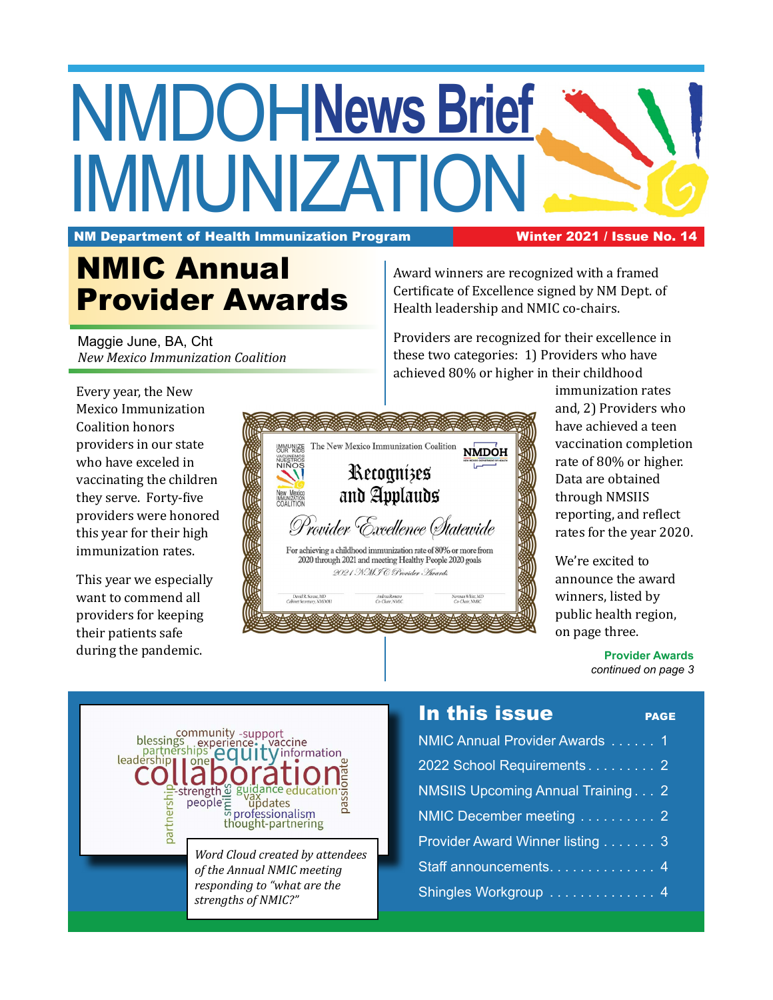## NMDOH **News Brief IMMUNIZATIO**

NM Department of Health Immunization Program Winter 2021 / Issue No. 14

## NMIC Annual Provider Awards

Maggie June, BA, Cht *New Mexico Immunization Coalition* Award winners are recognized with a framed Certificate of Excellence signed by NM Dept. of Health leadership and NMIC co-chairs.

Providers are recognized for their excellence in these two categories: 1) Providers who have achieved 80% or higher in their childhood

Every year, the New Mexico Immunization Coalition honors providers in our state who have exceled in vaccinating the children they serve. Forty-five providers were honored this year for their high immunization rates.

This year we especially want to commend all providers for keeping their patients safe during the pandemic.



immunization rates and, 2) Providers who have achieved a teen vaccination completion rate of 80% or higher. Data are obtained through NMSIIS reporting, and reflect rates for the year 2020.

We're excited to announce the award winners, listed by public health region, on page three.

> **Provider Awards** *continued on page 3*



*Word Cloud created by attendees of the Annual NMIC meeting responding to "what are the strengths of NMIC?"*

### In this issue **PAGE**

| NMIC Annual Provider Awards  1           |  |
|------------------------------------------|--|
| 2022 School Requirements 2               |  |
| <b>NMSIIS Upcoming Annual Training 2</b> |  |
| NMIC December meeting 2                  |  |
| Provider Award Winner listing 3          |  |
| Staff announcements. 4                   |  |
| Shingles Workgroup  4                    |  |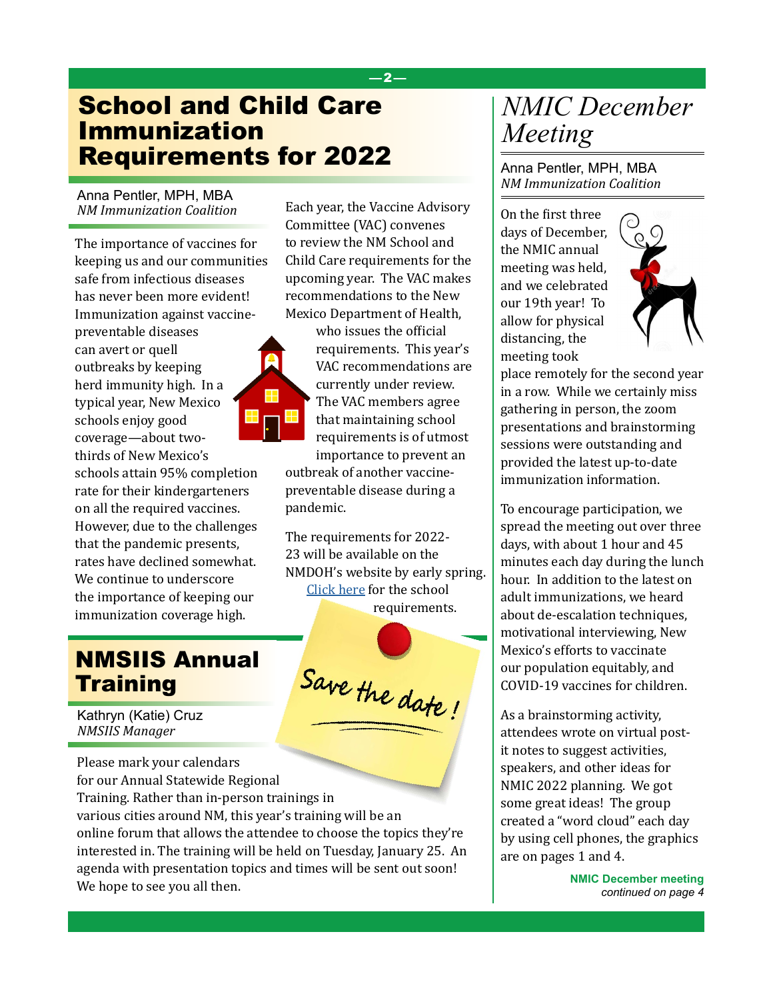### School and Child Care Immunization Requirements for 2022

Anna Pentler, MPH, MBA *NM Immunization Coalition*

The importance of vaccines for keeping us and our communities safe from infectious diseases has never been more evident! Immunization against vaccine-

preventable diseases can avert or quell outbreaks by keeping herd immunity high. In a typical year, New Mexico schools enjoy good coverage—about twothirds of New Mexico's schools attain 95% completion rate for their kindergarteners on all the required vaccines. However, due to the challenges that the pandemic presents, rates have declined somewhat. We continue to underscore the importance of keeping our immunization coverage high.

### NMSIIS Annual **Training**

Kathryn (Katie) Cruz *NMSIIS Manager*

Please mark your calendars for our Annual Statewide Regional Training. Rather than in-person trainings in various cities around NM, this year's training will be an online forum that allows the attendee to choose the topics they're interested in. The training will be held on Tuesday, January 25. An agenda with presentation topics and times will be sent out soon! We hope to see you all then.

Each year, the Vaccine Advisory Committee (VAC) convenes to review the NM School and Child Care requirements for the upcoming year. The VAC makes recommendations to the New Mexico Department of Health,

—2—



who issues the official requirements. This year's VAC recommendations are currently under review. The VAC members agree that maintaining school requirements is of utmost importance to prevent an

outbreak of another vaccinepreventable disease during a pandemic.

The requirements for 2022- 23 will be available on the NMDOH's website by early spring. [Click here](https://www.nmhealth.org/about/phd/idb/imp/siis/school/) for the school requirements.

Save the date!

### *NMIC December Meeting*

Anna Pentler, MPH, MBA *NM Immunization Coalition*

On the first three days of December, the NMIC annual meeting was held, and we celebrated our 19th year! To allow for physical distancing, the meeting took



place remotely for the second year in a row. While we certainly miss gathering in person, the zoom presentations and brainstorming sessions were outstanding and provided the latest up-to-date immunization information.

To encourage participation, we spread the meeting out over three days, with about 1 hour and 45 minutes each day during the lunch hour. In addition to the latest on adult immunizations, we heard about de-escalation techniques, motivational interviewing, New Mexico's efforts to vaccinate our population equitably, and COVID-19 vaccines for children.

As a brainstorming activity, attendees wrote on virtual postit notes to suggest activities, speakers, and other ideas for NMIC 2022 planning. We got some great ideas! The group created a "word cloud" each day by using cell phones, the graphics are on pages 1 and 4.

> **NMIC December meeting** *continued on page 4*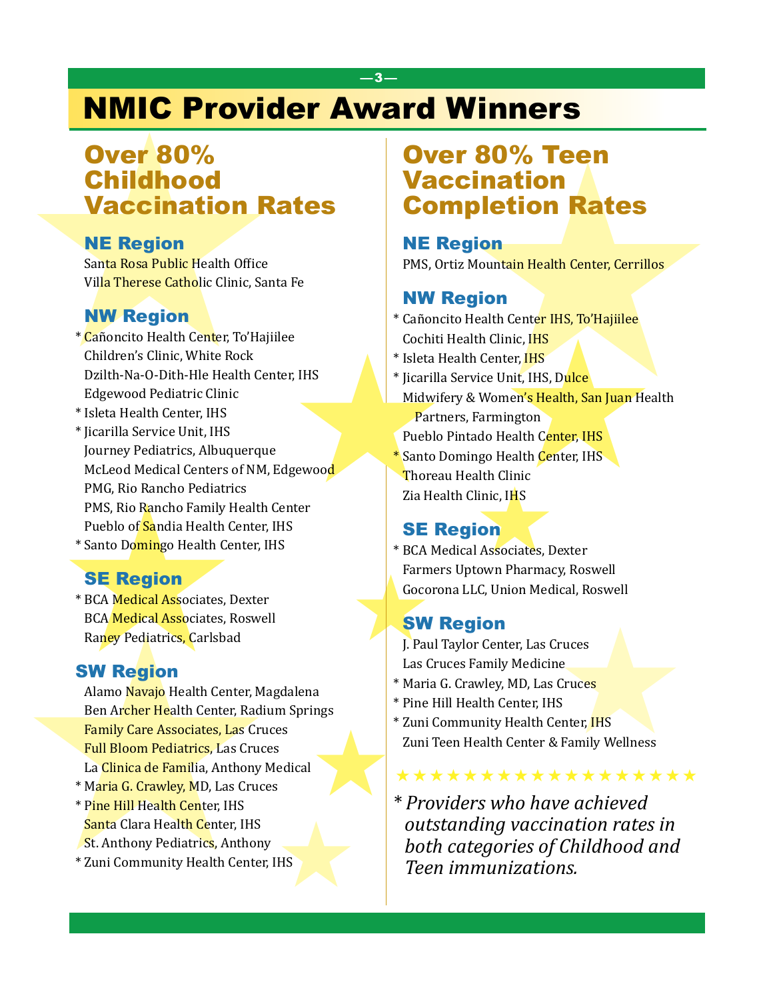## NMIC Provider Award Winners

—3—

# **Over 80%<br>Childhood<br>Vaccination Rates Vaccination Rates of the Region<br>Santa Rosa Public Health Office<br>Villa Therese Catholic Clinic, Santa F<br>Nur Region<br>\* Cañoncito Health Center, To'Hajiilee<br>Children's Clinic, White Rock<br>D** Over 80% Childhood Vaccination Rates

### NE Region

Santa Rosa Public Health Office Villa Therese Catholic Clinic, Santa Fe

### NW Region

- \* Cañoncito Health Center, To'Hajiilee Children's Clinic, White Rock Dzilth-Na-O-Dith-Hle Health Center, IHS Edgewood Pediatric Clinic
- \* Isleta Health Center, IHS
- PMG, Rio Rancho Pediatrics<br>PMS, Rio Rancho Family Hea<br>Pueblo of Sandia Health Cent<br>\* Santo Domingo Health Cent<br>\* BCA Medical Associates, Dex<br>BCA Medical Associates, Ros<br>Raney Pediatrics, Carlsbad<br>SW Region<br>Alamo Navajo Hea \* Jicarilla Service Unit, IHS Journey Pediatrics, Albuquerque McLeod Medical Centers of NM, Edgewood PMG, Rio Rancho Pediatrics PMS, Rio Rancho Family Health Center Pueblo of Sandia Health Center, IHS
	- \* Santo Domingo Health Center, IHS

### SE Region

\* BCA Medical Associates, Dexter BCA Medical Associates, Roswell Raney Pediatrics, Carlsbad

### SW Region

- Alamo Navajo Health Center, Magdalena Ben Archer Health Center, Radium Springs Family Care Associates, Las Cruces Full Bloom Pediatrics, Las Cruces La Clinica de Familia, Anthony Medical
- \* Maria G. Crawley, MD, Las Cruces
- \* Pine Hill Health Center, IHS Santa Clara Health Center, IHS St. Anthony Pediatrics, Anthony
- \* Zuni Community Health Center, IHS IHS

# **Example 180% Teen<br>
Maccination<br>
Example tion Rates<br>
NE Region<br>
PMS, Ortiz Mountain Health Center, Cerrillos<br>
a<sup>Fe</sup><br>
NW Region<br>
\* Cañoncito Health Center IHS, To<sup>7</sup>Hajille<br>
ecchiti Health Cinter, IHS<br>
\* Isicari Health Cent** Over 80% Teen Vaccination Completion Rates

### NE Region

PMS, Ortiz Mountain Health Center, Cerrillos

### NW Region

- \* Cañoncito Health Center IHS, To'Hajiilee Cochiti Health Clinic, IHS
- \* Isleta Health Center, IHS
- \* Jicarilla Service Unit, IHS, Dulce
- Midwifery & Women's Health, San Juan Health Partners, Farmington Pueblo Pintado Health Center, IHS
- **\*** Santo Domingo Health Center, IHS
- Thoreau Health Clinic
- Zia Health Clinic, IHS

### **SE Region**

Clinic, IHS<br> **Clinic, IHS**<br> **Replaces** al Associates, Denotown Pharmacy \* BCA Medical Associates, Dexter Farmers Uptown Pharmacy, Roswell Gocorona LLC, Union Medical, Roswell

### SW Region

J. Paul Taylor Center, Las Cruces Las Cruces Family Medicine

- \* Maria G. Crawley, MD, Las Cruces
- \* Pine Hill Health Center, IHS
- \* Zuni Community Health Center, IHS Zuni Teen Health Center & Family Wellness
- SE Region<br>
BCA Medical Associates, Dexter<br>
BCA Medical Associates, Roswell<br>
BCA Medical Associates, Roswell<br>
Rangy Pediatrics, Carlsbad<br>
SW Region<br>
Maria G. Crawley, MD, Las Cruces<br>
Las Cruces<br>
Las Cruces<br>
Las Cruces<br>
Las \* *Providers who have achieved outstanding vaccination rates in both categories of Childhood and Teen immunizations.*

\*\*\*\*\*\*\*\*\*\*\*\*\*\*\*\*\*\*